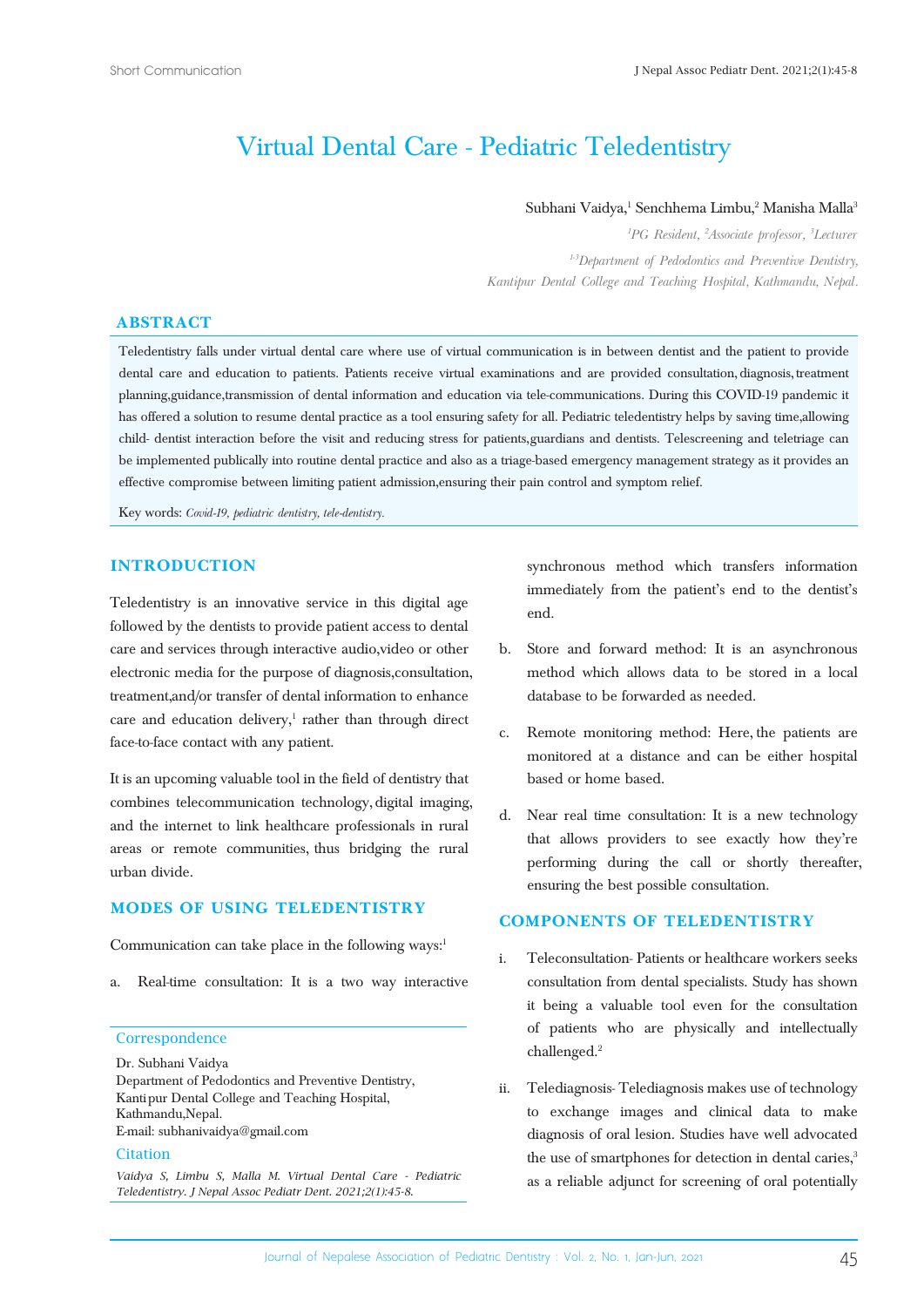# Virtual Dental Care - Pediatric Teledentistry

#### Subhani Vaidya,<sup>1</sup> Senchhema Limbu,<sup>2</sup> Manisha Malla<sup>3</sup>

*1 PG Resident, 2 Associate professor, 3 Lecturer 1-3Department of Pedodontics and Preventive Dentistry, Kantipur Dental College and Teaching Hospital, Kathmandu, Nepal.*

### **ABSTRACT**

Teledentistry falls under virtual dental care where use of virtual communication is in between dentist and the patient to provide dental care and education to patients. Patients receive virtual examinations and are provided consultation, diagnosis, treatment planning, guidance, transmission of dental information and education via tele-communications. During this COVID-19 pandemic it has offered a solution to resume dental practice as a tool ensuring safety for all. Pediatric teledentistry helps by saving time, allowing child- dentist interaction before the visit and reducing stress for patients, guardians and dentists. Telescreening and teletriage can be implemented publically into routine dental practice and also as a triage-based emergency management strategy as it provides an effective compromise between limiting patient admission, ensuring their pain control and symptom relief.

Key words: *Covid-19, pediatric dentistry, tele-dentistry.*

#### **INTRODUCTION**

Teledentistry is an innovative service in this digital age followed by the dentists to provide patient access to dental care and services through interactive audio, video or other electronic media for the purpose of diagnosis, consultation, treatment, and/or transfer of dental information to enhance care and education delivery,<sup>1</sup> rather than through direct face-to-face contact with any patient.

It is an upcoming valuable tool in the field of dentistry that combines telecommunication technology, digital imaging, and the internet to link healthcare professionals in rural areas or remote communities, thus bridging the rural urban divide.

### **MODES OF USING TELEDENTISTRY**

Communication can take place in the following ways: $1$ 

a. Real-time consultation: It is a two way interactive

#### **Correspondence**

Dr. Subhani Vaidya

Department of Pedodontics and Preventive Dentistry, Kantipur Dental College and Teaching Hospital, Kathmandu, Nepal. E-mail: subhanivaidya@gmail.com

### **Citation**

*Vaidya S, Limbu S, Malla M. Virtual Dental Care - Pediatric Teledentistry. J Nepal Assoc Pediatr Dent. 2021;2(1):45-8.*

synchronous method which transfers information immediately from the patient's end to the dentist's end.

- b. Store and forward method: It is an asynchronous method which allows data to be stored in a local database to be forwarded as needed.
- c. Remote monitoring method: Here, the patients are monitored at a distance and can be either hospital based or home based.
- d. Near real time consultation: It is a new technology that allows providers to see exactly how they're performing during the call or shortly thereafter, ensuring the best possible consultation.

### **COMPONENTS OF TELEDENTISTRY**

- i. Teleconsultation- Patients or healthcare workers seeks consultation from dental specialists. Study has shown it being a valuable tool even for the consultation of patients who are physically and intellectually challenged.2
- ii. Telediagnosis- Telediagnosis makes use of technology to exchange images and clinical data to make diagnosis of oral lesion. Studies have well advocated the use of smartphones for detection in dental caries,<sup>3</sup> as a reliable adjunct for screening of oral potentially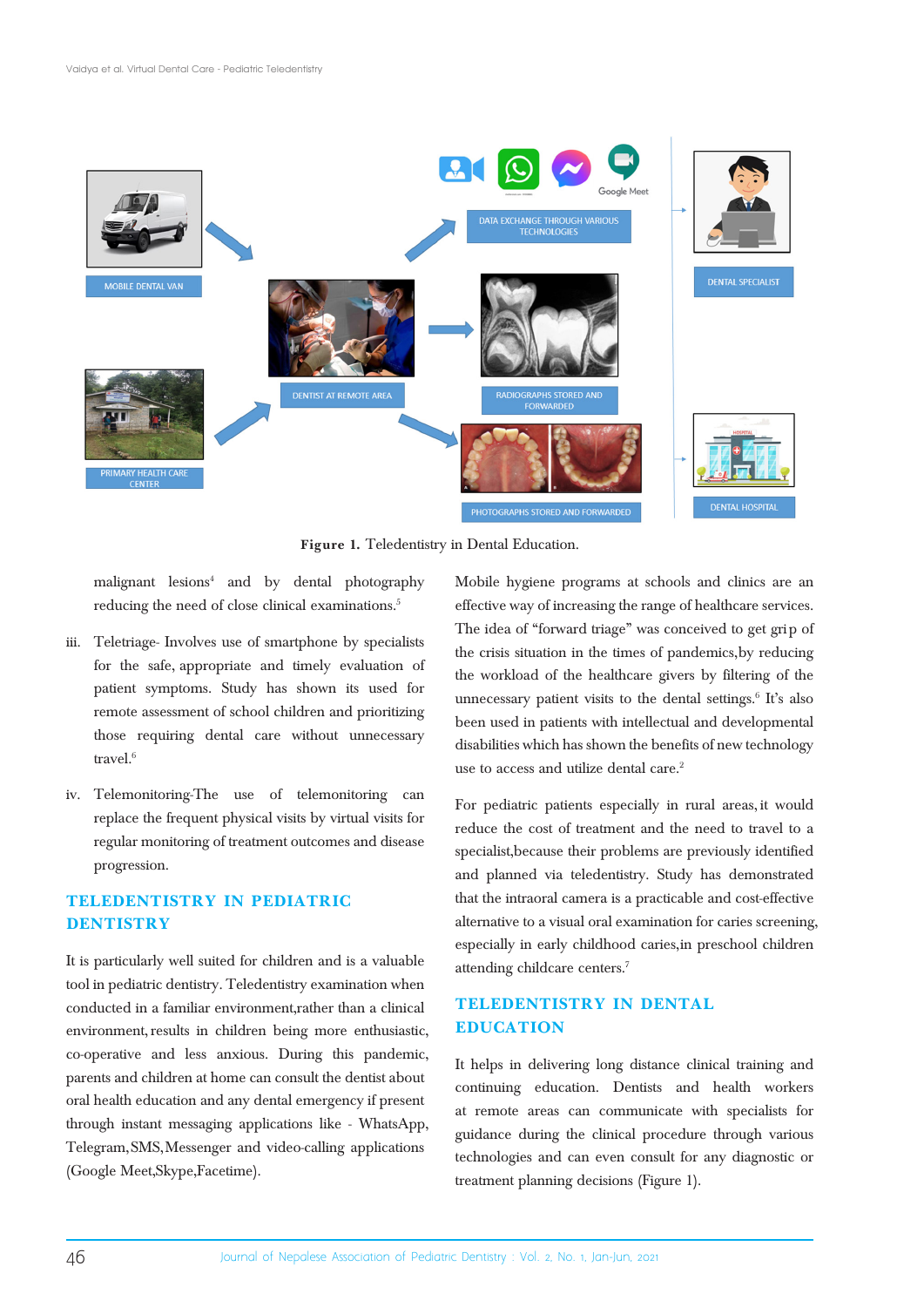

**Figure 1.** Teledentistry in Dental Education.

malignant lesions4 and by dental photography reducing the need of close clinical examinations.<sup>5</sup>

- iii. Teletriage- Involves use of smartphone by specialists for the safe, appropriate and timely evaluation of patient symptoms. Study has shown its used for remote assessment of school children and prioritizing those requiring dental care without unnecessary travel.<sup>6</sup>
- iv. Telemonitoring-The use of telemonitoring can replace the frequent physical visits by virtual visits for regular monitoring of treatment outcomes and disease progression.

# **TELEDENTISTRY IN PEDIATRIC DENTISTRY**

It is particularly well suited for children and is a valuable tool in pediatric dentistry. Teledentistry examination when conducted in a familiar environment, rather than a clinical environment, results in children being more enthusiastic, co-operative and less anxious. During this pandemic, parents and children at home can consult the dentist about oral health education and any dental emergency if present through instant messaging applications like - WhatsApp, Telegram, SMS, Messenger and video-calling applications (Google Meet, Skype, Facetime).

Mobile hygiene programs at schools and clinics are an effective way of increasing the range of healthcare services. The idea of "forward triage" was conceived to get grip of the crisis situation in the times of pandemics, by reducing the workload of the healthcare givers by filtering of the unnecessary patient visits to the dental settings.<sup>6</sup> It's also been used in patients with intellectual and developmental disabilities which has shown the benefits of new technology use to access and utilize dental care.<sup>2</sup>

For pediatric patients especially in rural areas, it would reduce the cost of treatment and the need to travel to a specialist, because their problems are previously identified and planned via teledentistry. Study has demonstrated that the intraoral camera is a practicable and cost-effective alternative to a visual oral examination for caries screening, especially in early childhood caries, in preschool children attending childcare centers.7

## **TELEDENTISTRY IN DENTAL EDUCATION**

It helps in delivering long distance clinical training and continuing education. Dentists and health workers at remote areas can communicate with specialists for guidance during the clinical procedure through various technologies and can even consult for any diagnostic or treatment planning decisions (Figure 1).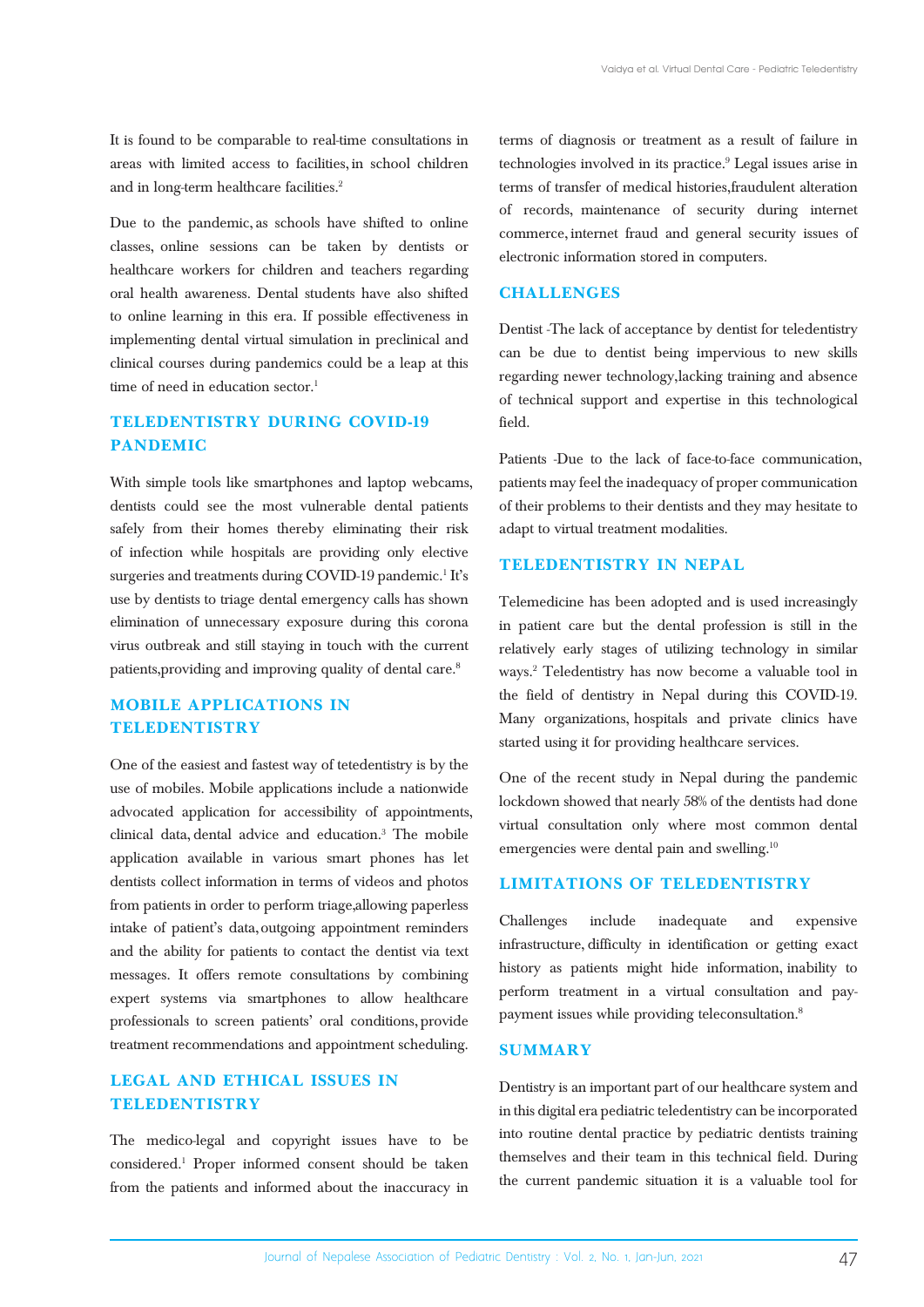It is found to be comparable to real-time consultations in areas with limited access to facilities, in school children and in long-term healthcare facilities.<sup>2</sup>

Due to the pandemic, as schools have shifted to online classes, online sessions can be taken by dentists or healthcare workers for children and teachers regarding oral health awareness. Dental students have also shifted to online learning in this era. If possible effectiveness in implementing dental virtual simulation in preclinical and clinical courses during pandemics could be a leap at this time of need in education sector.<sup>1</sup>

## **TELEDENTISTRY DURING COVID-19 PANDEMIC**

With simple tools like smartphones and laptop webcams, dentists could see the most vulnerable dental patients safely from their homes thereby eliminating their risk of infection while hospitals are providing only elective surgeries and treatments during COVID-19 pandemic.<sup>1</sup> It's use by dentists to triage dental emergency calls has shown elimination of unnecessary exposure during this corona virus outbreak and still staying in touch with the current patients, providing and improving quality of dental care.<sup>8</sup>

# **MOBILE APPLICATIONS IN TELEDENTISTRY**

One of the easiest and fastest way of tetedentistry is by the use of mobiles. Mobile applications include a nationwide advocated application for accessibility of appointments, clinical data, dental advice and education.3 The mobile application available in various smart phones has let dentists collect information in terms of videos and photos from patients in order to perform triage, allowing paperless intake of patient's data, outgoing appointment reminders and the ability for patients to contact the dentist via text messages. It offers remote consultations by combining expert systems via smartphones to allow healthcare professionals to screen patients' oral conditions, provide treatment recommendations and appointment scheduling.

### **LEGAL AND ETHICAL ISSUES IN TELEDENTISTRY**

The medico-legal and copyright issues have to be considered.1 Proper informed consent should be taken from the patients and informed about the inaccuracy in

terms of diagnosis or treatment as a result of failure in technologies involved in its practice.<sup>9</sup> Legal issues arise in terms of transfer of medical histories, fraudulent alteration of records, maintenance of security during internet commerce, internet fraud and general security issues of electronic information stored in computers.

### **CHALLENGES**

Dentist -The lack of acceptance by dentist for teledentistry can be due to dentist being impervious to new skills regarding newer technology, lacking training and absence of technical support and expertise in this technological field.

Patients -Due to the lack of face-to-face communication, patients may feel the inadequacy of proper communication of their problems to their dentists and they may hesitate to adapt to virtual treatment modalities.

### **TELEDENTISTRY IN NEPAL**

Telemedicine has been adopted and is used increasingly in patient care but the dental profession is still in the relatively early stages of utilizing technology in similar ways.2 Teledentistry has now become a valuable tool in the field of dentistry in Nepal during this COVID-19. Many organizations, hospitals and private clinics have started using it for providing healthcare services.

One of the recent study in Nepal during the pandemic lockdown showed that nearly 58% of the dentists had done virtual consultation only where most common dental emergencies were dental pain and swelling.<sup>10</sup>

### **LIMITATIONS OF TELEDENTISTRY**

Challenges include inadequate and expensive infrastructure, difficulty in identification or getting exact history as patients might hide information, inability to perform treatment in a virtual consultation and paypayment issues while providing teleconsultation.8

### **SUMMARY**

Dentistry is an important part of our healthcare system and in this digital era pediatric teledentistry can be incorporated into routine dental practice by pediatric dentists training themselves and their team in this technical field. During the current pandemic situation it is a valuable tool for